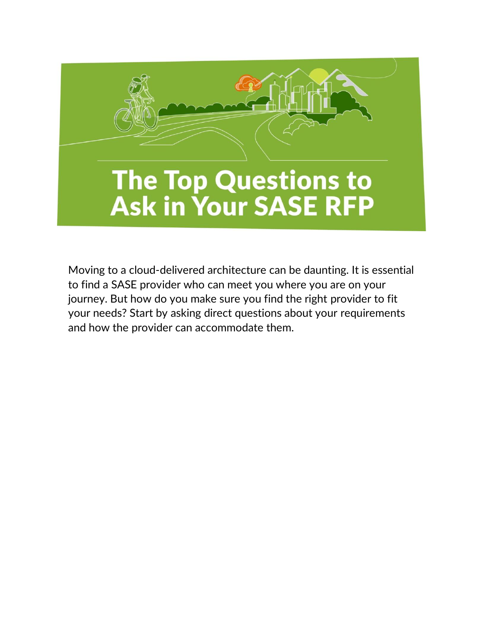

Moving to a cloud-delivered architecture can be daunting. It is essential to find a SASE provider who can meet you where you are on your journey. But how do you make sure you find the right provider to fit your needs? Start by asking direct questions about your requirements and how the provider can accommodate them.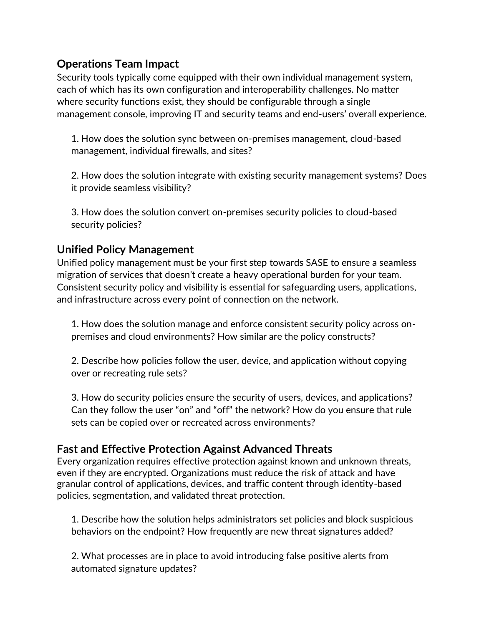# **Operations Team Impact**

Security tools typically come equipped with their own individual management system, each of which has its own configuration and interoperability challenges. No matter where security functions exist, they should be configurable through a single management console, improving IT and security teams and end-users' overall experience.

1. How does the solution sync between on-premises management, cloud-based management, individual firewalls, and sites?

2. How does the solution integrate with existing security management systems? Does it provide seamless visibility?

3. How does the solution convert on-premises security policies to cloud-based security policies?

#### **Unified Policy Management**

Unified policy management must be your first step towards SASE to ensure a seamless migration of services that doesn't create a heavy operational burden for your team. Consistent security policy and visibility is essential for safeguarding users, applications, and infrastructure across every point of connection on the network.

1. How does the solution manage and enforce consistent security policy across onpremises and cloud environments? How similar are the policy constructs?

2. Describe how policies follow the user, device, and application without copying over or recreating rule sets?

3. How do security policies ensure the security of users, devices, and applications? Can they follow the user "on" and "off" the network? How do you ensure that rule sets can be copied over or recreated across environments?

# **Fast and Effective Protection Against Advanced Threats**

Every organization requires effective protection against known and unknown threats, even if they are encrypted. Organizations must reduce the risk of attack and have granular control of applications, devices, and traffic content through identity-based policies, segmentation, and validated threat protection.

1. Describe how the solution helps administrators set policies and block suspicious behaviors on the endpoint? How frequently are new threat signatures added?

2. What processes are in place to avoid introducing false positive alerts from automated signature updates?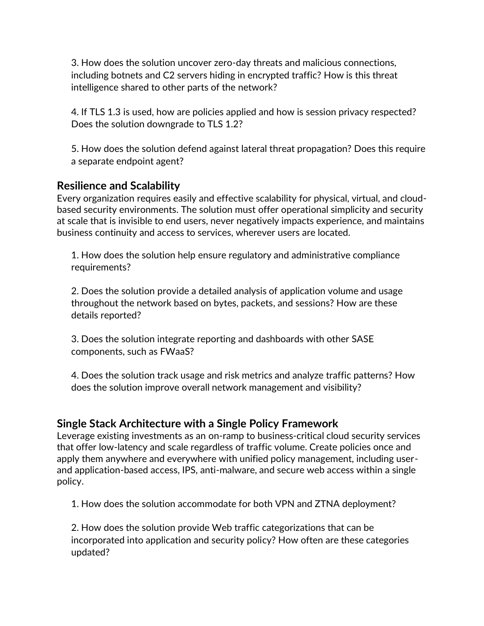3. How does the solution uncover zero-day threats and malicious connections, including botnets and C2 servers hiding in encrypted traffic? How is this threat intelligence shared to other parts of the network?

4. If TLS 1.3 is used, how are policies applied and how is session privacy respected? Does the solution downgrade to TLS 1.2?

5. How does the solution defend against lateral threat propagation? Does this require a separate endpoint agent?

# **Resilience and Scalability**

Every organization requires easily and effective scalability for physical, virtual, and cloudbased security environments. The solution must offer operational simplicity and security at scale that is invisible to end users, never negatively impacts experience, and maintains business continuity and access to services, wherever users are located.

1. How does the solution help ensure regulatory and administrative compliance requirements?

2. Does the solution provide a detailed analysis of application volume and usage throughout the network based on bytes, packets, and sessions? How are these details reported?

3. Does the solution integrate reporting and dashboards with other SASE components, such as FWaaS?

4. Does the solution track usage and risk metrics and analyze traffic patterns? How does the solution improve overall network management and visibility?

# **Single Stack Architecture with a Single Policy Framework**

Leverage existing investments as an on-ramp to business-critical cloud security services that offer low-latency and scale regardless of traffic volume. Create policies once and apply them anywhere and everywhere with unified policy management, including userand application-based access, IPS, anti-malware, and secure web access within a single policy.

1. How does the solution accommodate for both VPN and ZTNA deployment?

2. How does the solution provide Web traffic categorizations that can be incorporated into application and security policy? How often are these categories updated?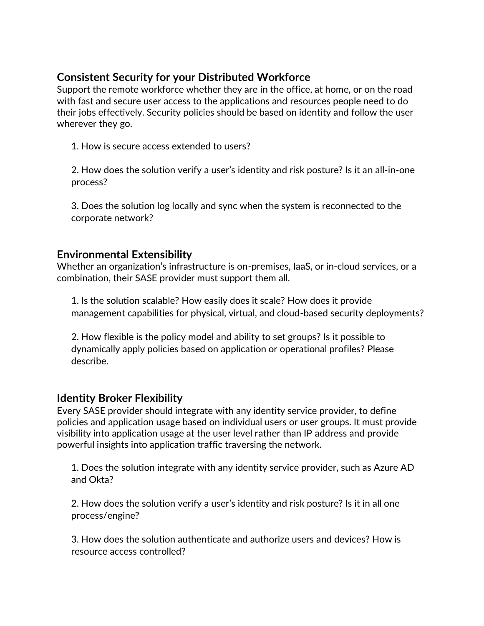# **Consistent Security for your Distributed Workforce**

Support the remote workforce whether they are in the office, at home, or on the road with fast and secure user access to the applications and resources people need to do their jobs effectively. Security policies should be based on identity and follow the user wherever they go.

1. How is secure access extended to users?

2. How does the solution verify a user's identity and risk posture? Is it an all-in-one process?

3. Does the solution log locally and sync when the system is reconnected to the corporate network?

#### **Environmental Extensibility**

Whether an organization's infrastructure is on-premises, IaaS, or in-cloud services, or a combination, their SASE provider must support them all.

1. Is the solution scalable? How easily does it scale? How does it provide management capabilities for physical, virtual, and cloud-based security deployments?

2. How flexible is the policy model and ability to set groups? Is it possible to dynamically apply policies based on application or operational profiles? Please describe.

# **Identity Broker Flexibility**

Every SASE provider should integrate with any identity service provider, to define policies and application usage based on individual users or user groups. It must provide visibility into application usage at the user level rather than IP address and provide powerful insights into application traffic traversing the network.

1. Does the solution integrate with any identity service provider, such as Azure AD and Okta?

2. How does the solution verify a user's identity and risk posture? Is it in all one process/engine?

3. How does the solution authenticate and authorize users and devices? How is resource access controlled?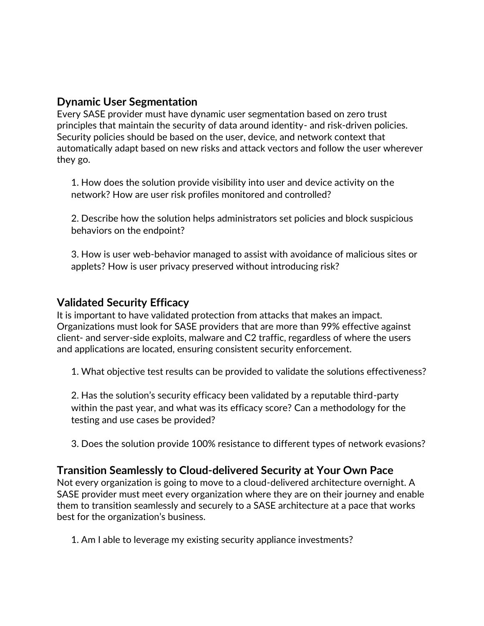#### **Dynamic User Segmentation**

Every SASE provider must have dynamic user segmentation based on zero trust principles that maintain the security of data around identity- and risk-driven policies. Security policies should be based on the user, device, and network context that automatically adapt based on new risks and attack vectors and follow the user wherever they go.

1. How does the solution provide visibility into user and device activity on the network? How are user risk profiles monitored and controlled?

2. Describe how the solution helps administrators set policies and block suspicious behaviors on the endpoint?

3. How is user web-behavior managed to assist with avoidance of malicious sites or applets? How is user privacy preserved without introducing risk?

#### **Validated Security Efficacy**

It is important to have validated protection from attacks that makes an impact. Organizations must look for SASE providers that are more than 99% effective against client- and server-side exploits, malware and C2 traffic, regardless of where the users and applications are located, ensuring consistent security enforcement.

1. What objective test results can be provided to validate the solutions effectiveness?

2. Has the solution's security efficacy been validated by a reputable third-party within the past year, and what was its efficacy score? Can a methodology for the testing and use cases be provided?

3. Does the solution provide 100% resistance to different types of network evasions?

# **Transition Seamlessly to Cloud-delivered Security at Your Own Pace**

Not every organization is going to move to a cloud-delivered architecture overnight. A SASE provider must meet every organization where they are on their journey and enable them to transition seamlessly and securely to a SASE architecture at a pace that works best for the organization's business.

1. Am I able to leverage my existing security appliance investments?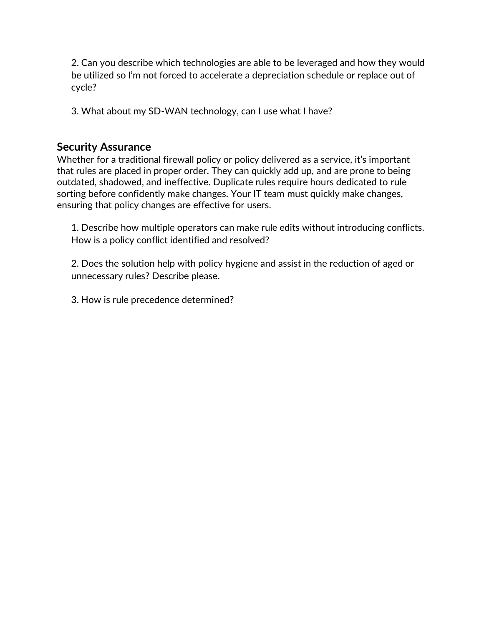2. Can you describe which technologies are able to be leveraged and how they would be utilized so I'm not forced to accelerate a depreciation schedule or replace out of cycle?

3. What about my SD-WAN technology, can I use what I have?

#### **Security Assurance**

Whether for a traditional firewall policy or policy delivered as a service, it's important that rules are placed in proper order. They can quickly add up, and are prone to being outdated, shadowed, and ineffective. Duplicate rules require hours dedicated to rule sorting before confidently make changes. Your IT team must quickly make changes, ensuring that policy changes are effective for users.

1. Describe how multiple operators can make rule edits without introducing conflicts. How is a policy conflict identified and resolved?

2. Does the solution help with policy hygiene and assist in the reduction of aged or unnecessary rules? Describe please.

3. How is rule precedence determined?